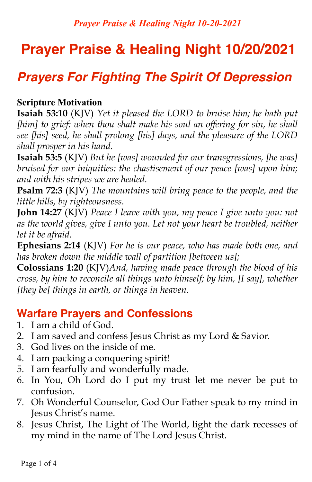# **Prayer Praise & Healing Night 10/20/2021**

## *Prayers For Fighting The Spirit Of Depression*

#### **Scripture Motivation**

**Isaiah 53:10** (KJV) *Yet it pleased the LORD to bruise him; he hath put*  [him] to grief: when thou shalt make his soul an offering for sin, he shall *see [his] seed, he shall prolong [his] days, and the pleasure of the LORD shall prosper in his hand*.

**Isaiah 53:5** (KJV) *But he [was] wounded for our transgressions, [he was] bruised for our iniquities: the chastisement of our peace [was] upon him; and with his stripes we are healed*.

**Psalm 72:3** (KJV) *The mountains will bring peace to the people, and the little hills, by righteousness*.

**John 14:27** (KJV) *Peace I leave with you, my peace I give unto you: not as the world gives, give I unto you. Let not your heart be troubled, neither let it be afraid*.

**Ephesians 2:14** (KJV) *For he is our peace, who has made both one, and has broken down the middle wall of partition [between us];*

**Colossians 1:20** (KJV)*And, having made peace through the blood of his cross, by him to reconcile all things unto himself; by him, [I say], whether [they be] things in earth, or things in heaven*.

### **Warfare Prayers and Confessions**

- 1. I am a child of God.
- 2. I am saved and confess Jesus Christ as my Lord & Savior.
- 3. God lives on the inside of me.
- 4. I am packing a conquering spirit!
- 5. I am fearfully and wonderfully made.
- 6. In You, Oh Lord do I put my trust let me never be put to confusion.
- 7. Oh Wonderful Counselor, God Our Father speak to my mind in Jesus Christ's name.
- 8. Jesus Christ, The Light of The World, light the dark recesses of my mind in the name of The Lord Jesus Christ.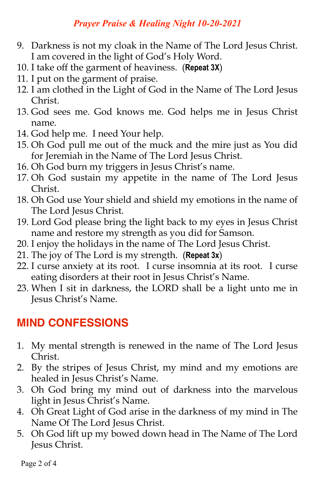#### *Prayer Praise & Healing Night 10-20-2021*

- 9. Darkness is not my cloak in the Name of The Lord Jesus Christ. I am covered in the light of God's Holy Word.
- 10. I take off the garment of heaviness. (**Repeat 3X**)
- 11. I put on the garment of praise.
- 12. I am clothed in the Light of God in the Name of The Lord Jesus Christ.
- 13. God sees me. God knows me. God helps me in Jesus Christ name.
- 14. God help me. I need Your help.
- 15. Oh God pull me out of the muck and the mire just as You did for Jeremiah in the Name of The Lord Jesus Christ.
- 16. Oh God burn my triggers in Jesus Christ's name.
- 17. Oh God sustain my appetite in the name of The Lord Jesus Christ.
- 18. Oh God use Your shield and shield my emotions in the name of The Lord Jesus Christ.
- 19. Lord God please bring the light back to my eyes in Jesus Christ name and restore my strength as you did for Samson.
- 20. I enjoy the holidays in the name of The Lord Jesus Christ.
- 21. The joy of The Lord is my strength. (**Repeat 3x**)
- 22. I curse anxiety at its root. I curse insomnia at its root. I curse eating disorders at their root in Jesus Christ's Name.
- 23. When I sit in darkness, the LORD shall be a light unto me in Jesus Christ's Name.

## **MIND CONFESSIONS**

- 1. My mental strength is renewed in the name of The Lord Jesus Christ.
- 2. By the stripes of Jesus Christ, my mind and my emotions are healed in Jesus Christ's Name.
- 3. Oh God bring my mind out of darkness into the marvelous light in Jesus Christ's Name.
- 4. Oh Great Light of God arise in the darkness of my mind in The Name Of The Lord Jesus Christ.
- 5. Oh God lift up my bowed down head in The Name of The Lord Jesus Christ.

Page 2 of 4